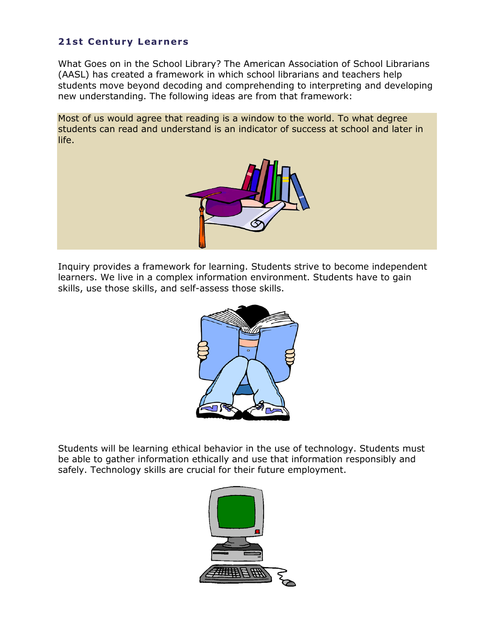## **21st Century Learners**

What Goes on in the School Library? The American Association of School Librarians (AASL) has created a framework in which school librarians and teachers help students move beyond decoding and comprehending to interpreting and developing new understanding. The following ideas are from that framework:

Most of us would agree that reading is a window to the world. To what degree students can read and understand is an indicator of success at school and later in life.



Inquiry provides a framework for learning. Students strive to become independent learners. We live in a complex information environment. Students have to gain skills, use those skills, and self-assess those skills.



Students will be learning ethical behavior in the use of technology. Students must be able to gather information ethically and use that information responsibly and safely. Technology skills are crucial for their future employment.